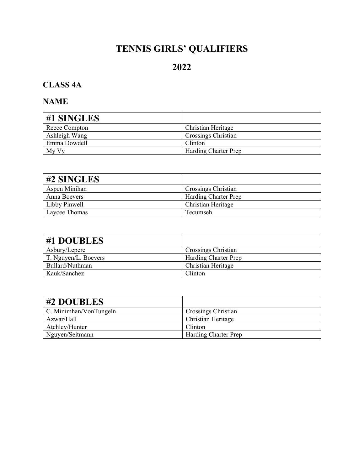# **TENNIS GIRLS' QUALIFIERS**

# **2022**

# **CLASS 4A**

| #1 SINGLES    |                             |
|---------------|-----------------------------|
| Reece Compton | Christian Heritage          |
| Ashleigh Wang | <b>Crossings Christian</b>  |
| Emma Dowdell  | Clinton                     |
| My Vy         | <b>Harding Charter Prep</b> |

| $\#2$ SINGLES |                             |
|---------------|-----------------------------|
| Aspen Minihan | Crossings Christian         |
| Anna Boevers  | <b>Harding Charter Prep</b> |
| Libby Pinwell | Christian Heritage          |
| Laycee Thomas | Tecumseh                    |

| #1 DOUBLES           |                             |
|----------------------|-----------------------------|
| Asbury/Lepere        | Crossings Christian         |
| T. Nguyen/L. Boevers | <b>Harding Charter Prep</b> |
| Bullard/Nuthman      | Christian Heritage          |
| Kauk/Sanchez         | Clinton                     |

| #2 DOUBLES                    |                             |
|-------------------------------|-----------------------------|
| $\mid$ C. Minimhan/VonTungeln | Crossings Christian         |
| Azwar/Hall                    | <b>Christian Heritage</b>   |
| Atchley/Hunter                | Clinton                     |
| Nguyen/Seitmann               | <b>Harding Charter Prep</b> |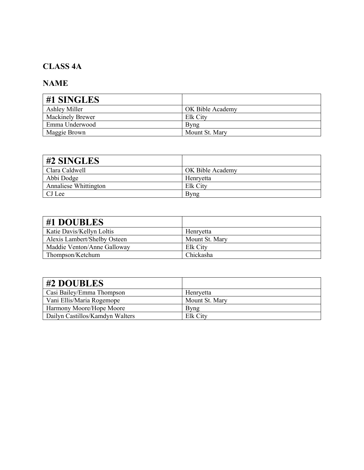### **CLASS 4A**

| #1 SINGLES              |                  |
|-------------------------|------------------|
| Ashley Miller           | OK Bible Academy |
| <b>Mackinely Brewer</b> | Elk City         |
| Emma Underwood          | Byng             |
| Maggie Brown            | Mount St. Mary   |

| #2 SINGLES            |                  |
|-----------------------|------------------|
| Clara Caldwell        | OK Bible Academy |
| Abbi Dodge            | Henryetta        |
| Annaliese Whittington | Elk City         |
| CJ Lee                | Bvng             |

| #1 DOUBLES                   |                |
|------------------------------|----------------|
| Katie Davis/Kellyn Loltis    | Henryetta      |
| Alexis Lambert/Shelby Osteen | Mount St. Mary |
| Maddie Venton/Anne Galloway  | Elk City       |
| Thompson/Ketchum             | Chickasha      |

| #2 DOUBLES                      |                |
|---------------------------------|----------------|
| Casi Bailey/Emma Thompson       | Henryetta      |
| Vani Ellis/Maria Rogemope       | Mount St. Mary |
| Harmony Moore/Hope Moore        | Byng           |
| Dailyn Castillos/Kamdyn Walters | Elk City       |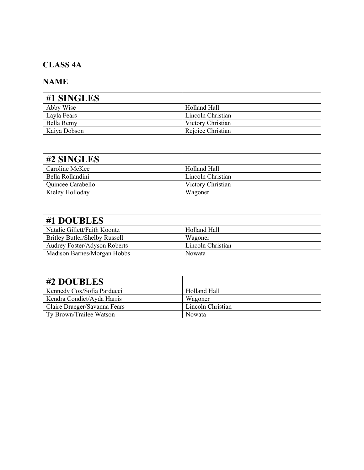# **CLASS 4A**

| #1 SINGLES   |                   |
|--------------|-------------------|
| Abby Wise    | Holland Hall      |
| Layla Fears  | Lincoln Christian |
| Bella Remy   | Victory Christian |
| Kaiya Dobson | Rejoice Christian |

| #2 SINGLES        |                   |
|-------------------|-------------------|
| Caroline McKee    | Holland Hall      |
| Bella Rollandini  | Lincoln Christian |
| Quincee Carabello | Victory Christian |
| Kieley Holloday   | Wagoner           |

| #1 DOUBLES                           |                   |
|--------------------------------------|-------------------|
| Natalie Gillett/Faith Koontz         | Holland Hall      |
| <b>Britley Butler/Shelby Russell</b> | Wagoner           |
| <b>Audrey Foster/Adyson Roberts</b>  | Lincoln Christian |
| Madison Barnes/Morgan Hobbs          | <b>Nowata</b>     |

| #2 DOUBLES                   |                   |
|------------------------------|-------------------|
| Kennedy Cox/Sofia Parducci   | Holland Hall      |
| Kendra Condict/Ayda Harris   | Wagoner           |
| Claire Draeger/Savanna Fears | Lincoln Christian |
| Ty Brown/Trailee Watson      | Nowata            |